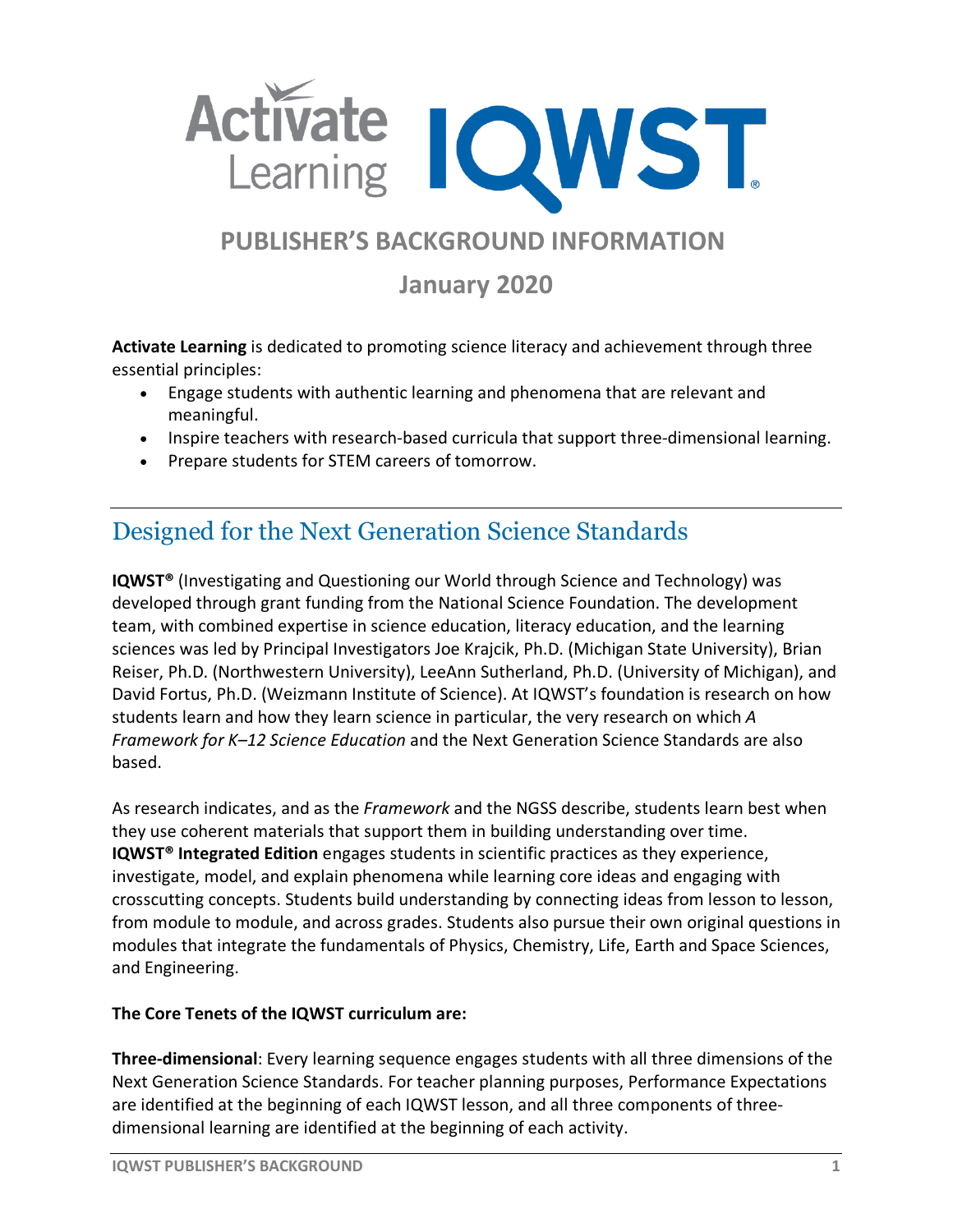

# **PUBLISHER'S BACKGROUND INFORMATION**

## **January 2020**

**Activate Learning** is dedicated to promoting science literacy and achievement through three essential principles:

- Engage students with authentic learning and phenomena that are relevant and meaningful.
- Inspire teachers with research-based curricula that support three-dimensional learning.
- Prepare students for STEM careers of tomorrow.

# Designed for the Next Generation Science Standards

**IQWST®** (Investigating and Questioning our World through Science and Technology) was developed through grant funding from the National Science Foundation. The development team, with combined expertise in science education, literacy education, and the learning sciences was led by Principal Investigators Joe Krajcik, Ph.D. (Michigan State University), Brian Reiser, Ph.D. (Northwestern University), LeeAnn Sutherland, Ph.D. (University of Michigan), and David Fortus, Ph.D. (Weizmann Institute of Science). At IQWST's foundation is research on how students learn and how they learn science in particular, the very research on which *A Framework for K–12 Science Education* and the Next Generation Science Standards are also based.

As research indicates, and as the *Framework* and the NGSS describe, students learn best when they use coherent materials that support them in building understanding over time. **IQWST® Integrated Edition** engages students in scientific practices as they experience, investigate, model, and explain phenomena while learning core ideas and engaging with crosscutting concepts. Students build understanding by connecting ideas from lesson to lesson, from module to module, and across grades. Students also pursue their own original questions in modules that integrate the fundamentals of Physics, Chemistry, Life, Earth and Space Sciences, and Engineering.

## **The Core Tenets of the IQWST curriculum are:**

**Three-dimensional**: Every learning sequence engages students with all three dimensions of the Next Generation Science Standards. For teacher planning purposes, Performance Expectations are identified at the beginning of each IQWST lesson, and all three components of threedimensional learning are identified at the beginning of each activity.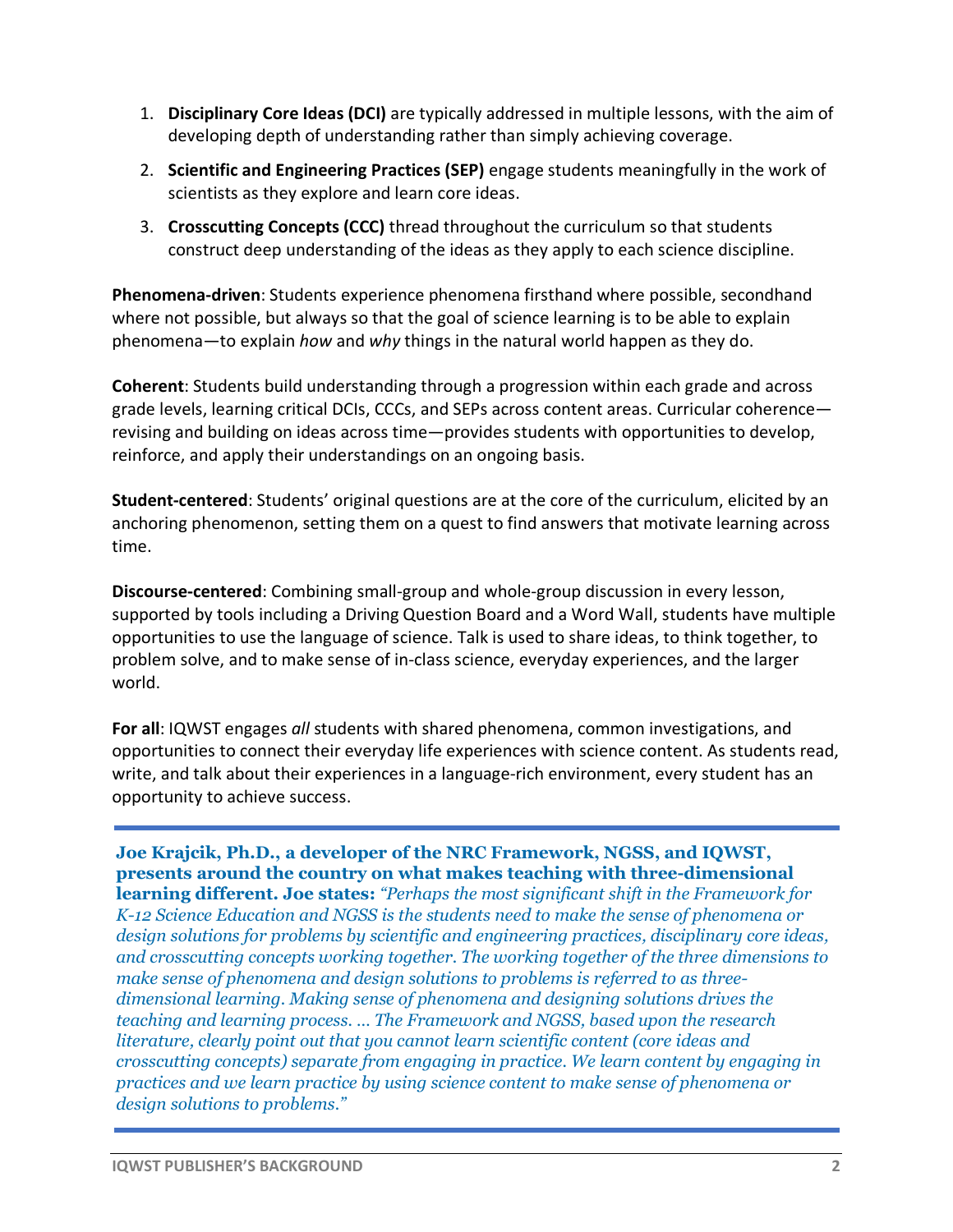- 1. **Disciplinary Core Ideas (DCI)** are typically addressed in multiple lessons, with the aim of developing depth of understanding rather than simply achieving coverage.
- 2. **Scientific and Engineering Practices (SEP)** engage students meaningfully in the work of scientists as they explore and learn core ideas.
- 3. **Crosscutting Concepts (CCC)** thread throughout the curriculum so that students construct deep understanding of the ideas as they apply to each science discipline.

**Phenomena-driven**: Students experience phenomena firsthand where possible, secondhand where not possible, but always so that the goal of science learning is to be able to explain phenomena—to explain *how* and *why* things in the natural world happen as they do.

**Coherent**: Students build understanding through a progression within each grade and across grade levels, learning critical DCIs, CCCs, and SEPs across content areas. Curricular coherence revising and building on ideas across time—provides students with opportunities to develop, reinforce, and apply their understandings on an ongoing basis.

**Student-centered**: Students' original questions are at the core of the curriculum, elicited by an anchoring phenomenon, setting them on a quest to find answers that motivate learning across time.

**Discourse-centered**: Combining small-group and whole-group discussion in every lesson, supported by tools including a Driving Question Board and a Word Wall, students have multiple opportunities to use the language of science. Talk is used to share ideas, to think together, to problem solve, and to make sense of in-class science, everyday experiences, and the larger world.

For all: IQWST engages *all* students with shared phenomena, common investigations, and opportunities to connect their everyday life experiences with science content. As students read, write, and talk about their experiences in a language-rich environment, every student has an opportunity to achieve success.

### **Joe Krajcik, Ph.D., a developer of the NRC Framework, NGSS, and IQWST, presents around the country on what makes teaching with three-dimensional learning different. Joe states:** *"Perhaps the most significant shift in the Framework for K-12 Science Education and NGSS is the students need to make the sense of phenomena or design solutions for problems by scientific and engineering practices, disciplinary core ideas, and crosscutting concepts working together. The working together of the three dimensions to make sense of phenomena and design solutions to problems is referred to as threedimensional learning. Making sense of phenomena and designing solutions drives the teaching and learning process. … The Framework and NGSS, based upon the research literature, clearly point out that you cannot learn scientific content (core ideas and crosscutting concepts) separate from engaging in practice. We learn content by engaging in practices and we learn practice by using science content to make sense of phenomena or design solutions to problems."*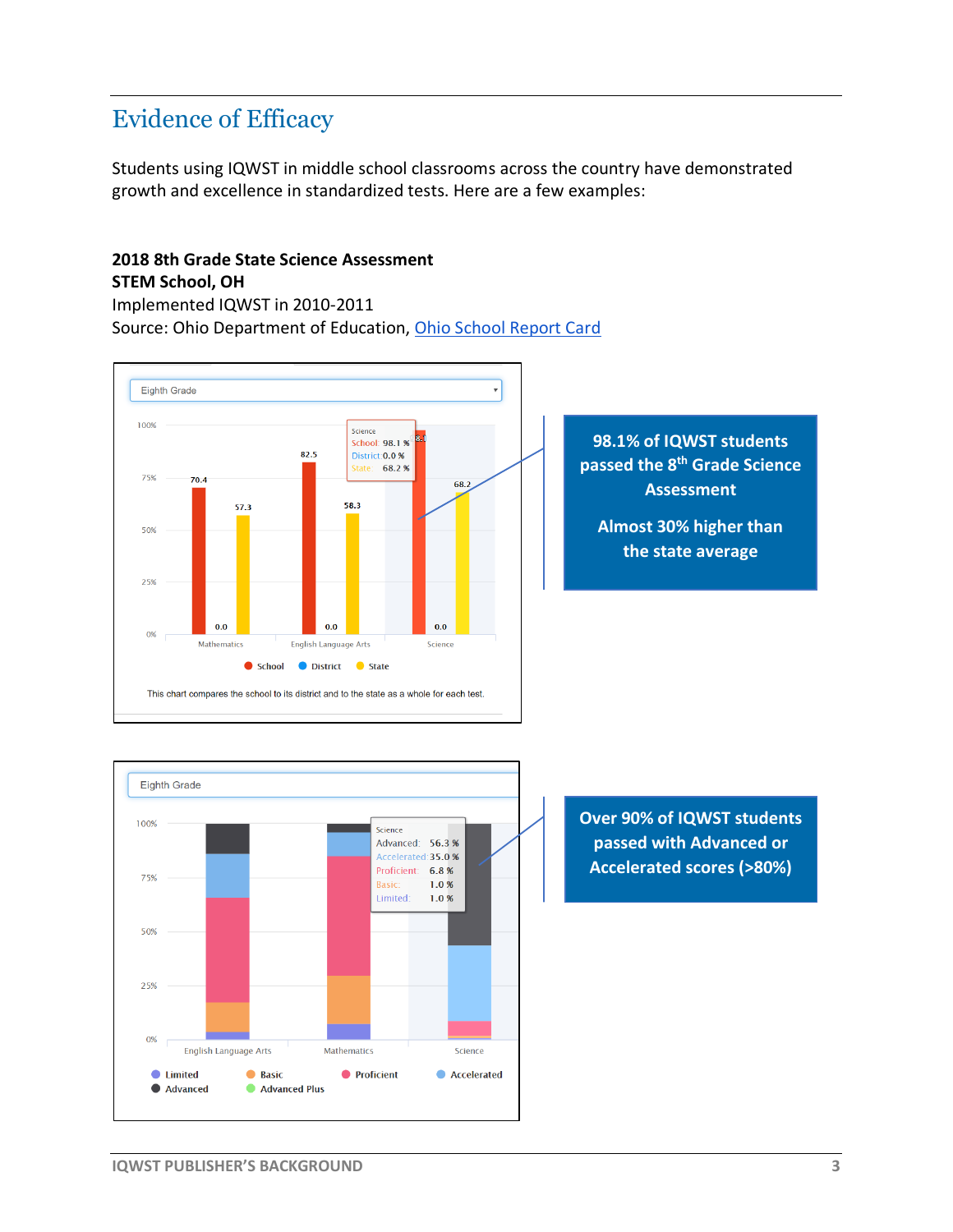## Evidence of Efficacy

Students using IQWST in middle school classrooms across the country have demonstrated growth and excellence in standardized tests. Here are a few examples:

## **2018 8th Grade State Science Assessment STEM School, OH**

Implemented IQWST in 2010-2011

Source: Ohio Department of Education, [Ohio School Report Card](https://reportcard.education.ohio.gov/school/achievement/011506)



**98.1% of IQWST students passed the 8th Grade Science Assessment**

**Almost 30% higher than the state average** 



**Over 90% of IQWST students passed with Advanced or Accelerated scores (>80%)**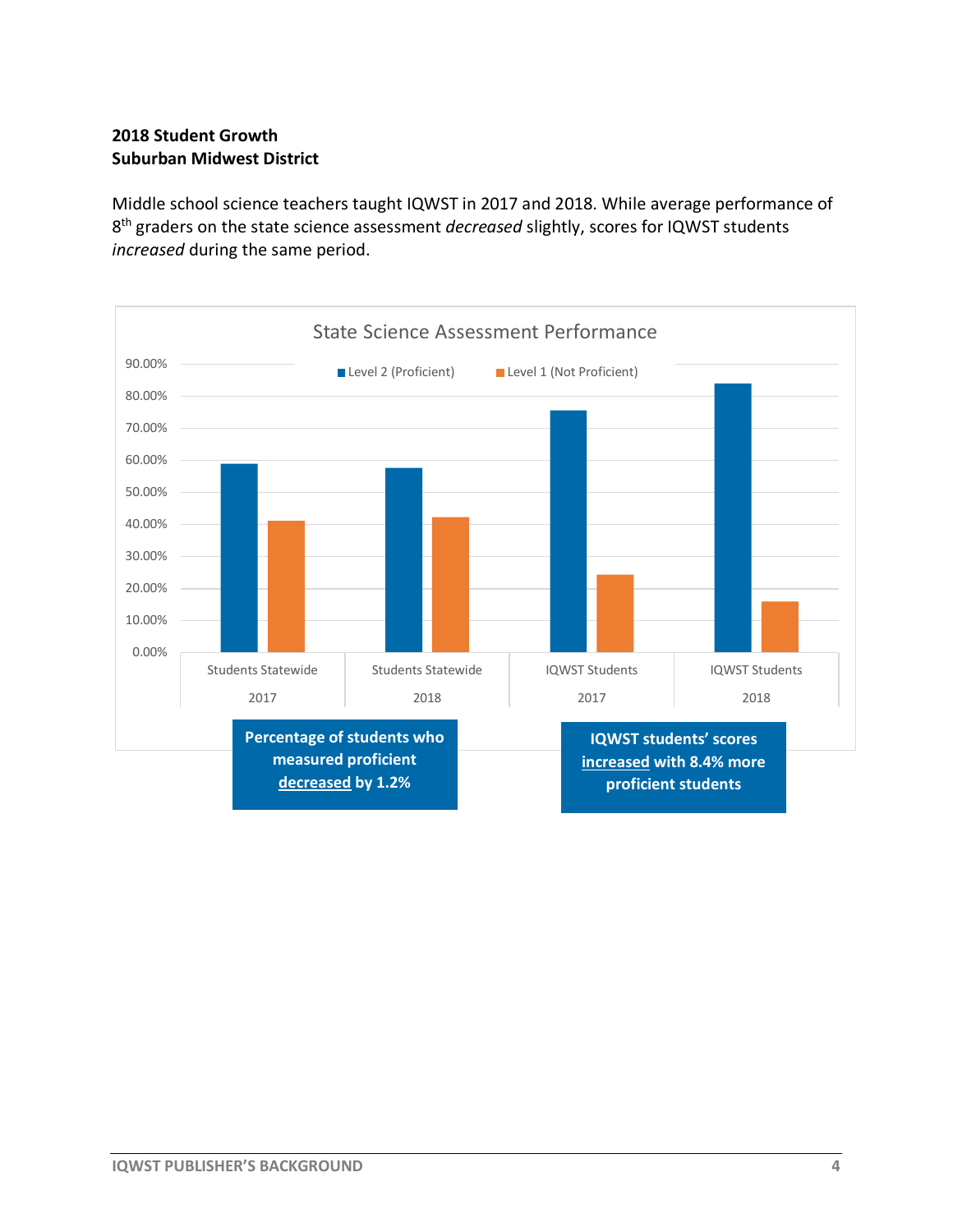## **2018 Student Growth Suburban Midwest District**

Middle school science teachers taught IQWST in 2017 and 2018. While average performance of 8th graders on the state science assessment *decreased* slightly, scores for IQWST students *increased* during the same period.

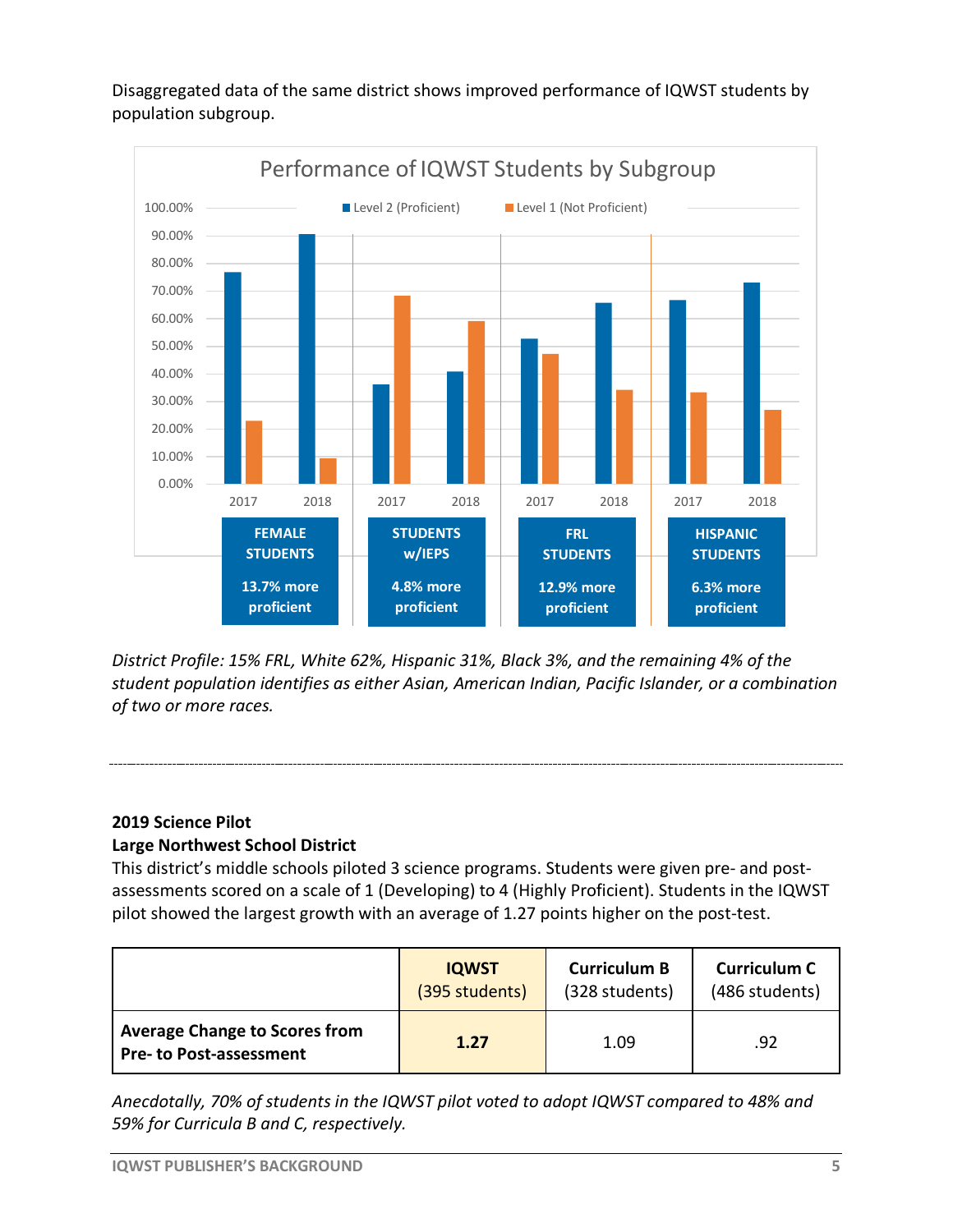

Disaggregated data of the same district shows improved performance of IQWST students by population subgroup.

*District Profile: 15% FRL, White 62%, Hispanic 31%, Black 3%, and the remaining 4% of the student population identifies as either Asian, American Indian, Pacific Islander, or a combination of two or more races.*

## **2019 Science Pilot**

## **Large Northwest School District**

This district's middle schools piloted 3 science programs. Students were given pre- and postassessments scored on a scale of 1 (Developing) to 4 (Highly Proficient). Students in the IQWST pilot showed the largest growth with an average of 1.27 points higher on the post-test.

|                                                                        | <b>IQWST</b>   | <b>Curriculum B</b> | <b>Curriculum C</b> |
|------------------------------------------------------------------------|----------------|---------------------|---------------------|
|                                                                        | (395 students) | (328 students)      | (486 students)      |
| <b>Average Change to Scores from</b><br><b>Pre- to Post-assessment</b> | 1.27           | 1.09                | .92                 |

*Anecdotally, 70% of students in the IQWST pilot voted to adopt IQWST compared to 48% and 59% for Curricula B and C, respectively.*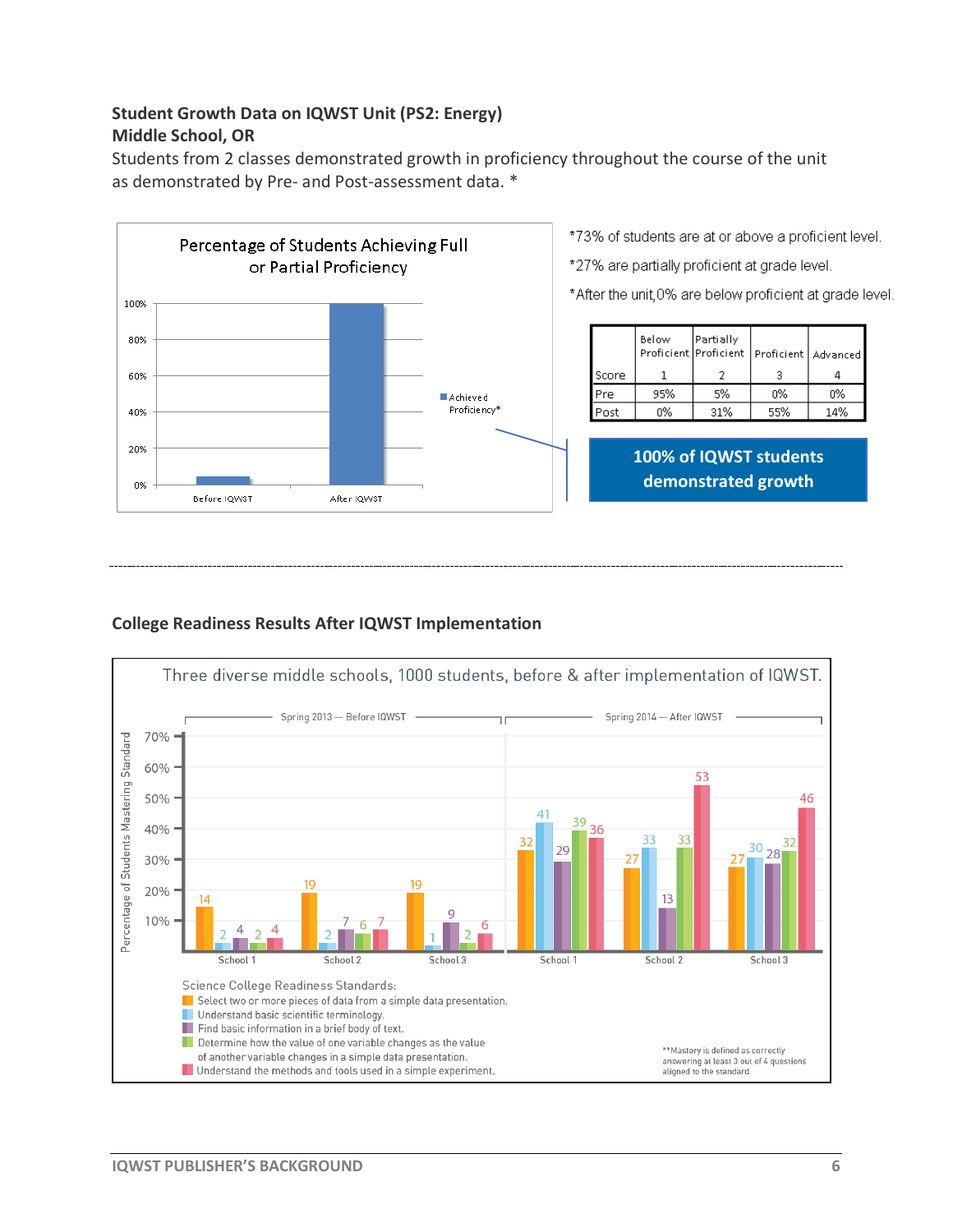## **Student Growth Data on IQWST Unit (PS2: Energy) Middle School, OR**

Students from 2 classes demonstrated growth in proficiency throughout the course of the unit as demonstrated by Pre- and Post-assessment data. \*



## **College Readiness Results After IQWST Implementation**

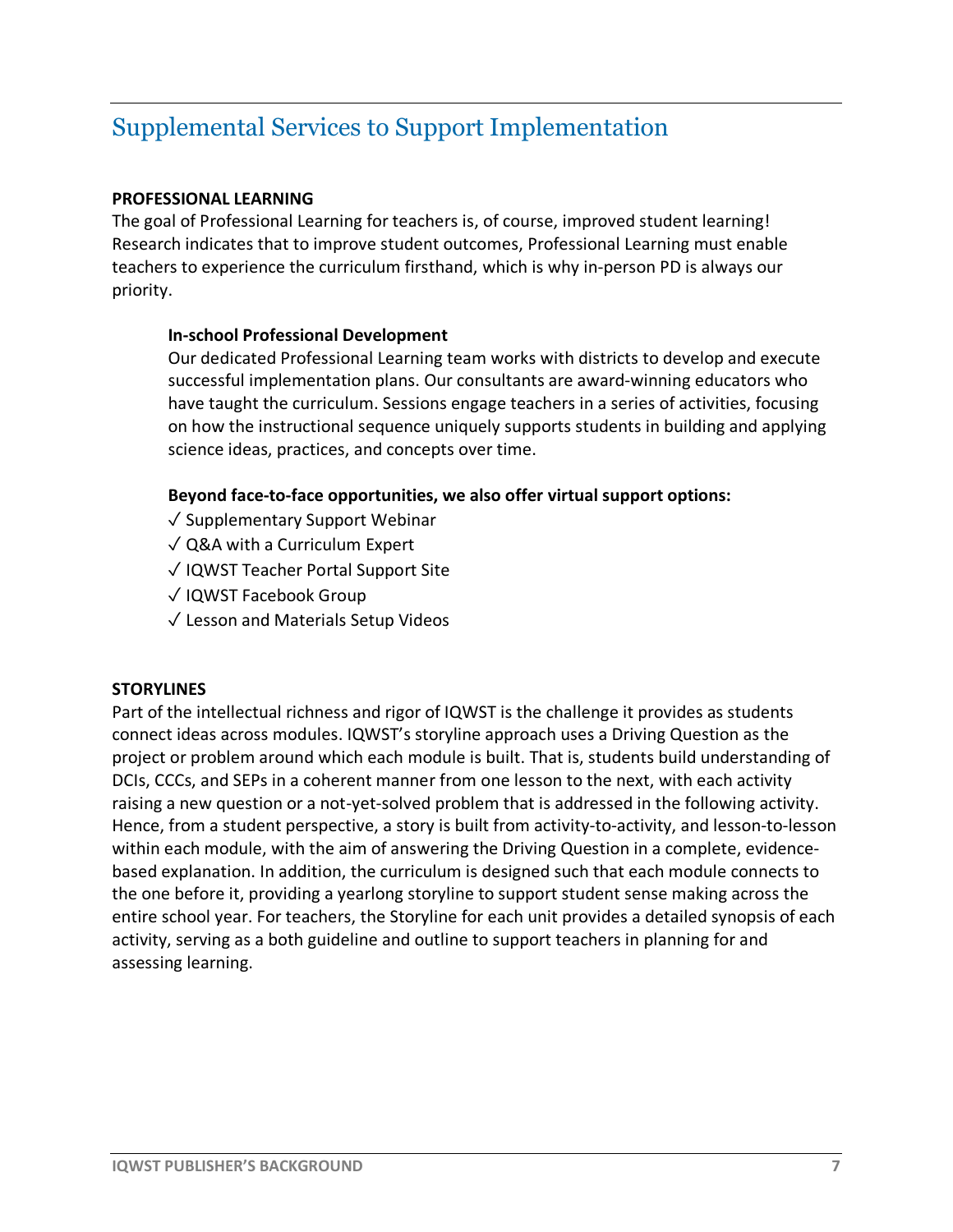# Supplemental Services to Support Implementation

### **PROFESSIONAL LEARNING**

The goal of Professional Learning for teachers is, of course, improved student learning! Research indicates that to improve student outcomes, Professional Learning must enable teachers to experience the curriculum firsthand, which is why in-person PD is always our priority.

### **In-school Professional Development**

Our dedicated Professional Learning team works with districts to develop and execute successful implementation plans. Our consultants are award-winning educators who have taught the curriculum. Sessions engage teachers in a series of activities, focusing on how the instructional sequence uniquely supports students in building and applying science ideas, practices, and concepts over time.

### **Beyond face-to-face opportunities, we also offer virtual support options:**

- ✓ Supplementary Support Webinar
- ✓ Q&A with a Curriculum Expert
- ✓ IQWST Teacher Portal Support Site
- ✓ IQWST Facebook Group
- ✓ Lesson and Materials Setup Videos

#### **STORYLINES**

Part of the intellectual richness and rigor of IQWST is the challenge it provides as students connect ideas across modules. IQWST's storyline approach uses a Driving Question as the project or problem around which each module is built. That is, students build understanding of DCIs, CCCs, and SEPs in a coherent manner from one lesson to the next, with each activity raising a new question or a not-yet-solved problem that is addressed in the following activity. Hence, from a student perspective, a story is built from activity-to-activity, and lesson-to-lesson within each module, with the aim of answering the Driving Question in a complete, evidencebased explanation. In addition, the curriculum is designed such that each module connects to the one before it, providing a yearlong storyline to support student sense making across the entire school year. For teachers, the Storyline for each unit provides a detailed synopsis of each activity, serving as a both guideline and outline to support teachers in planning for and assessing learning.